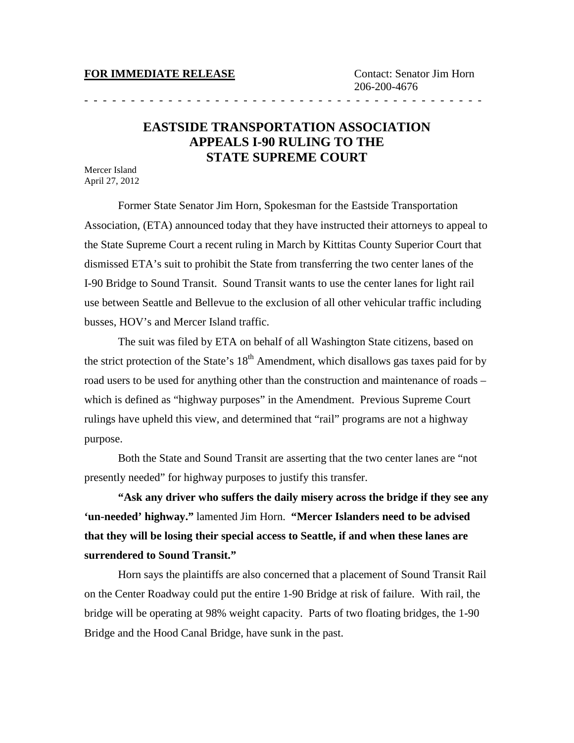## **FOR IMMEDIATE RELEASE** Contact: Senator Jim Horn

- - - - - - - - - - - - - - - - - - - - - - - - - - - - - - - - - - - - - - - - - - -

## **EASTSIDE TRANSPORTATION ASSOCIATION APPEALS I-90 RULING TO THE STATE SUPREME COURT**

Mercer Island April 27, 2012

Former State Senator Jim Horn, Spokesman for the Eastside Transportation Association, (ETA) announced today that they have instructed their attorneys to appeal to the State Supreme Court a recent ruling in March by Kittitas County Superior Court that dismissed ETA's suit to prohibit the State from transferring the two center lanes of the I-90 Bridge to Sound Transit. Sound Transit wants to use the center lanes for light rail use between Seattle and Bellevue to the exclusion of all other vehicular traffic including busses, HOV's and Mercer Island traffic.

The suit was filed by ETA on behalf of all Washington State citizens, based on the strict protection of the State's  $18<sup>th</sup>$  Amendment, which disallows gas taxes paid for by road users to be used for anything other than the construction and maintenance of roads – which is defined as "highway purposes" in the Amendment. Previous Supreme Court rulings have upheld this view, and determined that "rail" programs are not a highway purpose.

Both the State and Sound Transit are asserting that the two center lanes are "not presently needed" for highway purposes to justify this transfer.

**"Ask any driver who suffers the daily misery across the bridge if they see any 'un-needed' highway."** lamented Jim Horn. **"Mercer Islanders need to be advised that they will be losing their special access to Seattle, if and when these lanes are surrendered to Sound Transit."**

Horn says the plaintiffs are also concerned that a placement of Sound Transit Rail on the Center Roadway could put the entire 1-90 Bridge at risk of failure. With rail, the bridge will be operating at 98% weight capacity. Parts of two floating bridges, the 1-90 Bridge and the Hood Canal Bridge, have sunk in the past.